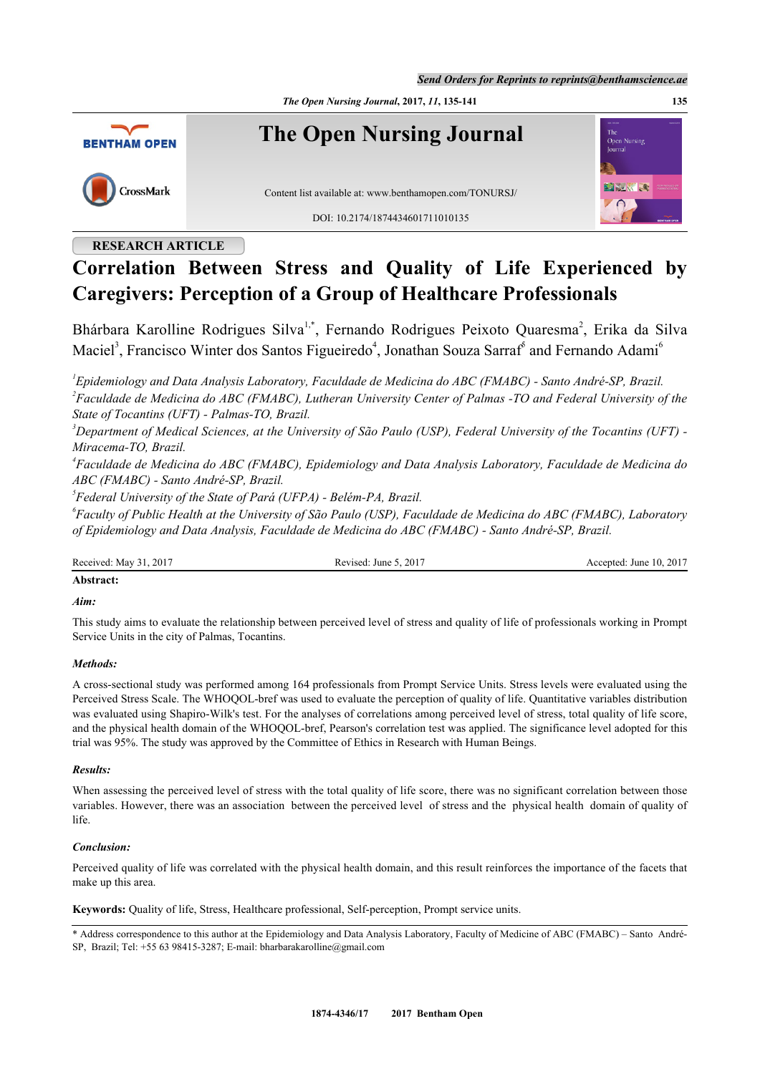*Send Orders for Reprints to reprints@benthamscience.ae*

*The Open Nursing Journal***, 2017,** *11***, 135-141 135**



# **RESEARCH ARTICLE**

# **Correlation Between Stress and Quality of Life Experienced by Caregivers: Perception of a Group of Healthcare Professionals**

Bhárbara Karolline Rodrigues Silva<sup>[1,](#page-0-0)[\\*](#page-0-1)</sup>, Fernando Rodrigues Peixoto Quaresma<sup>[2](#page-0-2)</sup>, Erika da Silva Maciel<sup>[3](#page-0-3)</sup>, Francisco Winter dos Santos Figueiredo<sup>[4](#page-0-4)</sup>, Jonathan Souza Sarraf<sup>[6](#page-0-6)</sup> and Fernando Adami<sup>6</sup>

<span id="page-0-2"></span><span id="page-0-0"></span>*1 Epidemiology and Data Analysis Laboratory, Faculdade de Medicina do ABC (FMABC) - Santo André-SP, Brazil. 2 Faculdade de Medicina do ABC (FMABC), Lutheran University Center of Palmas -TO and Federal University of the State of Tocantins (UFT) - Palmas-TO, Brazil.*

<span id="page-0-3"></span>*<sup>3</sup>Department of Medical Sciences, at the University of São Paulo (USP), Federal University of the Tocantins (UFT) - Miracema-TO, Brazil.*

<span id="page-0-4"></span>*4 Faculdade de Medicina do ABC (FMABC), Epidemiology and Data Analysis Laboratory, Faculdade de Medicina do ABC (FMABC) - Santo André-SP, Brazil.*

<span id="page-0-5"></span>*5 Federal University of the State of Pará (UFPA) - Belém-PA, Brazil.*

<span id="page-0-6"></span>*6 Faculty of Public Health at the University of São Paulo (USP), Faculdade de Medicina do ABC (FMABC), Laboratory of Epidemiology and Data Analysis, Faculdade de Medicina do ABC (FMABC) - Santo André-SP, Brazil.*

Received: May 31, 2017 Revised: June 5, 2017 Revised: June 5, 2017 Accepted: June 10, 2017

# **Abstract:**

## *Aim:*

This study aims to evaluate the relationship between perceived level of stress and quality of life of professionals working in Prompt Service Units in the city of Palmas, Tocantins.

# *Methods:*

A cross-sectional study was performed among 164 professionals from Prompt Service Units. Stress levels were evaluated using the Perceived Stress Scale. The WHOQOL-bref was used to evaluate the perception of quality of life. Quantitative variables distribution was evaluated using Shapiro-Wilk's test. For the analyses of correlations among perceived level of stress, total quality of life score, and the physical health domain of the WHOQOL-bref, Pearson's correlation test was applied. The significance level adopted for this trial was 95%. The study was approved by the Committee of Ethics in Research with Human Beings.

# *Results:*

When assessing the perceived level of stress with the total quality of life score, there was no significant correlation between those variables. However, there was an association between the perceived level of stress and the physical health domain of quality of life.

# *Conclusion:*

Perceived quality of life was correlated with the physical health domain, and this result reinforces the importance of the facets that make up this area.

**Keywords:** Quality of life, Stress, Healthcare professional, Self-perception, Prompt service units.

<span id="page-0-1"></span><sup>\*</sup> Address correspondence to this author at the Epidemiology and Data Analysis Laboratory, Faculty of Medicine of ABC (FMABC) – Santo André-SP, Brazil; Tel: +55 63 98415-3287; E-mail: [bharbarakarolline@gmail.com](mailto:bharbarakarolline@gmail.com)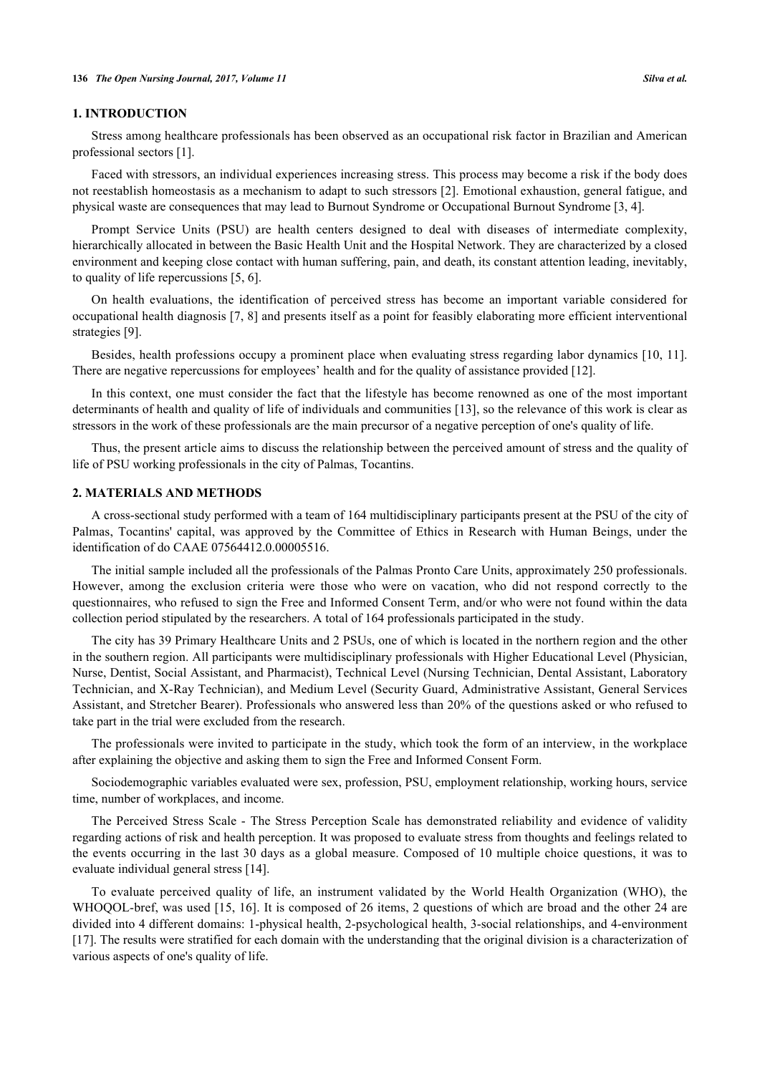### **1. INTRODUCTION**

Stress among healthcare professionals has been observed as an occupational risk factor in Brazilian and American professional sectors [[1\]](#page-5-0).

Faced with stressors, an individual experiences increasing stress. This process may become a risk if the body does not reestablish homeostasis as a mechanism to adapt to such stressors [[2\]](#page-5-1). Emotional exhaustion, general fatigue, and physical waste are consequences that may lead to Burnout Syndrome or Occupational Burnout Syndrome [\[3](#page-5-2), [4](#page-5-3)].

Prompt Service Units (PSU) are health centers designed to deal with diseases of intermediate complexity, hierarchically allocated in between the Basic Health Unit and the Hospital Network. They are characterized by a closed environment and keeping close contact with human suffering, pain, and death, its constant attention leading, inevitably, to quality of life repercussions [\[5](#page-5-4), [6](#page-5-5)].

On health evaluations, the identification of perceived stress has become an important variable considered for occupational health diagnosis [\[7,](#page-5-6) [8\]](#page-5-7) and presents itself as a point for feasibly elaborating more efficient interventional strategies [\[9](#page-5-8)].

Besides, health professions occupy a prominent place when evaluating stress regarding labor dynamics [[10,](#page-5-9) [11\]](#page-5-10). There are negative repercussions for employees' health and for the quality of assistance provided [\[12](#page-5-11)].

In this context, one must consider the fact that the lifestyle has become renowned as one of the most important determinants of health and quality of life of individuals and communities [[13\]](#page-5-12), so the relevance of this work is clear as stressors in the work of these professionals are the main precursor of a negative perception of one's quality of life.

Thus, the present article aims to discuss the relationship between the perceived amount of stress and the quality of life of PSU working professionals in the city of Palmas, Tocantins.

## **2. MATERIALS AND METHODS**

A cross-sectional study performed with a team of 164 multidisciplinary participants present at the PSU of the city of Palmas, Tocantins' capital, was approved by the Committee of Ethics in Research with Human Beings, under the identification of do CAAE 07564412.0.00005516.

The initial sample included all the professionals of the Palmas Pronto Care Units, approximately 250 professionals. However, among the exclusion criteria were those who were on vacation, who did not respond correctly to the questionnaires, who refused to sign the Free and Informed Consent Term, and/or who were not found within the data collection period stipulated by the researchers. A total of 164 professionals participated in the study.

The city has 39 Primary Healthcare Units and 2 PSUs, one of which is located in the northern region and the other in the southern region. All participants were multidisciplinary professionals with Higher Educational Level (Physician, Nurse, Dentist, Social Assistant, and Pharmacist), Technical Level (Nursing Technician, Dental Assistant, Laboratory Technician, and X-Ray Technician), and Medium Level (Security Guard, Administrative Assistant, General Services Assistant, and Stretcher Bearer). Professionals who answered less than 20% of the questions asked or who refused to take part in the trial were excluded from the research.

The professionals were invited to participate in the study, which took the form of an interview, in the workplace after explaining the objective and asking them to sign the Free and Informed Consent Form.

Sociodemographic variables evaluated were sex, profession, PSU, employment relationship, working hours, service time, number of workplaces, and income.

The Perceived Stress Scale - The Stress Perception Scale has demonstrated reliability and evidence of validity regarding actions of risk and health perception. It was proposed to evaluate stress from thoughts and feelings related to the events occurring in the last 30 days as a global measure. Composed of 10 multiple choice questions, it was to evaluate individual general stress [[14\]](#page-5-13).

To evaluate perceived quality of life, an instrument validated by the World Health Organization (WHO), the WHOQOL-bref, was used [[15,](#page-6-0) [16\]](#page-6-1). It is composed of 26 items, 2 questions of which are broad and the other 24 are divided into 4 different domains: 1-physical health, 2-psychological health, 3-social relationships, and 4-environment [\[17](#page-6-2)]. The results were stratified for each domain with the understanding that the original division is a characterization of various aspects of one's quality of life.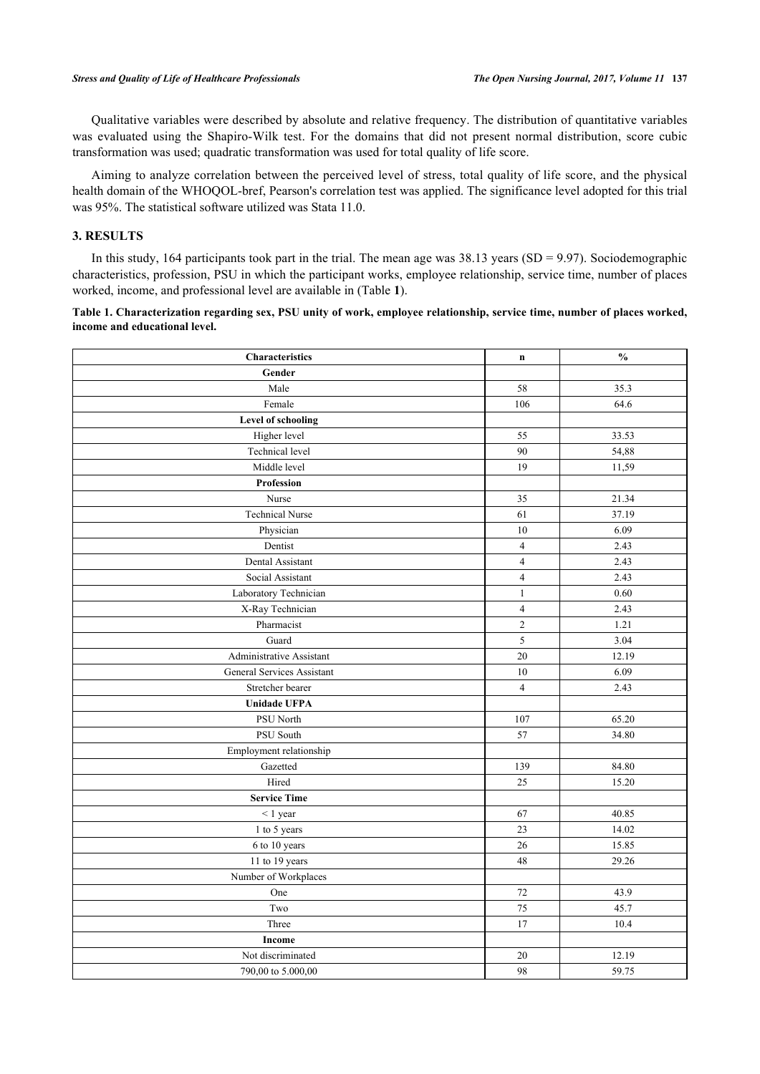Qualitative variables were described by absolute and relative frequency. The distribution of quantitative variables was evaluated using the Shapiro-Wilk test. For the domains that did not present normal distribution, score cubic transformation was used; quadratic transformation was used for total quality of life score.

Aiming to analyze correlation between the perceived level of stress, total quality of life score, and the physical health domain of the WHOQOL-bref, Pearson's correlation test was applied. The significance level adopted for this trial was 95%. The statistical software utilized was Stata 11.0.

## **3. RESULTS**

In this study, 164 participants took part in the trial. The mean age was  $38.13$  years (SD = 9.97). Sociodemographic characteristics, profession, PSU in which the participant works, employee relationship, service time, number of places worked, income, and professional level are available in (Table **[1](#page-2-0)**).

<span id="page-2-0"></span>**Table 1. Characterization regarding sex, PSU unity of work, employee relationship, service time, number of places worked, income and educational level.**

| <b>Characteristics</b>     | $\mathbf n$    | $\mathbf{0}_{\mathbf{0}}^{\prime}$ |
|----------------------------|----------------|------------------------------------|
| Gender                     |                |                                    |
| Male                       | 58             | 35.3                               |
| Female                     | 106            | 64.6                               |
| <b>Level of schooling</b>  |                |                                    |
| Higher level               | 55             | 33.53                              |
| Technical level            | 90             | 54,88                              |
| Middle level               | 19             | 11,59                              |
| Profession                 |                |                                    |
| Nurse                      | 35             | 21.34                              |
| <b>Technical Nurse</b>     | 61             | 37.19                              |
| Physician                  | 10             | 6.09                               |
| Dentist                    | $\overline{4}$ | 2.43                               |
| Dental Assistant           | $\overline{4}$ | 2.43                               |
| Social Assistant           | $\overline{4}$ | 2.43                               |
| Laboratory Technician      | $\mathbf{1}$   | 0.60                               |
| X-Ray Technician           | $\overline{4}$ | 2.43                               |
| Pharmacist                 | $\overline{2}$ | 1.21                               |
| Guard                      | 5              | 3.04                               |
| Administrative Assistant   | 20             | 12.19                              |
| General Services Assistant | 10             | 6.09                               |
| Stretcher bearer           | $\overline{4}$ | 2.43                               |
| <b>Unidade UFPA</b>        |                |                                    |
| PSU North                  | 107            | 65.20                              |
| PSU South                  | 57             | 34.80                              |
| Employment relationship    |                |                                    |
| Gazetted                   | 139            | 84.80                              |
| Hired                      | 25             | 15.20                              |
| <b>Service Time</b>        |                |                                    |
| $< 1$ year                 | 67             | 40.85                              |
| 1 to 5 years               | 23             | 14.02                              |
| 6 to 10 years              | $26\,$         | 15.85                              |
| 11 to 19 years             | 48             | 29.26                              |
| Number of Workplaces       |                |                                    |
| One                        | 72             | 43.9                               |
| Two                        | 75             | 45.7                               |
| Three                      | 17             | 10.4                               |
| Income                     |                |                                    |
| Not discriminated          | 20             | 12.19                              |
| 790,00 to 5.000,00         | 98             | 59.75                              |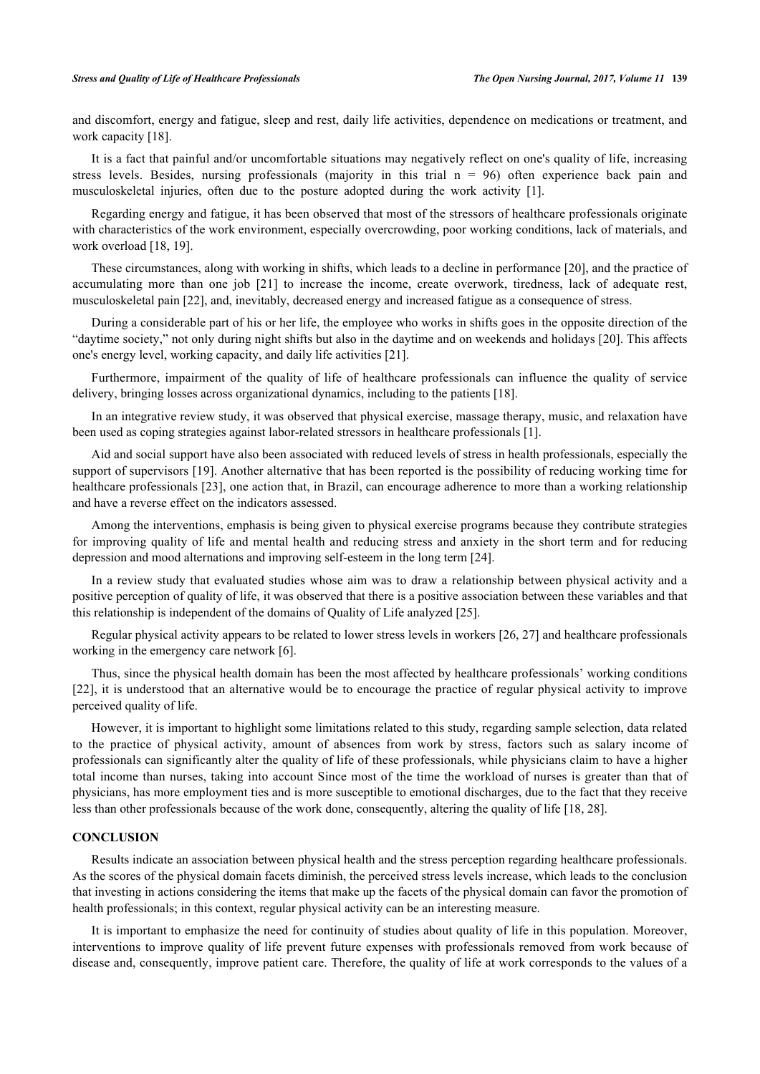#### *Stress and Quality of Life of Healthcare Professionals The Open Nursing Journal, 2017, Volume 11* **139**

and discomfort, energy and fatigue, sleep and rest, daily life activities, dependence on medications or treatment, and work capacity [[18\]](#page-6-3).

It is a fact that painful and/or uncomfortable situations may negatively reflect on one's quality of life, increasing stress levels. Besides, nursing professionals (majority in this trial  $n = 96$ ) often experience back pain and musculoskeletal injuries, often due to the posture adopted during the work activity[[1\]](#page-5-0).

Regarding energy and fatigue, it has been observed that most of the stressors of healthcare professionals originate with characteristics of the work environment, especially overcrowding, poor working conditions, lack of materials, and work overload [[18,](#page-6-3) [19\]](#page-6-4).

These circumstances, along with working in shifts, which leads to a decline in performance [\[20](#page-6-5)], and the practice of accumulating more than one job[[21](#page-6-6)] to increase the income, create overwork, tiredness, lack of adequate rest, musculoskeletal pain [[22\]](#page-6-7), and, inevitably, decreased energy and increased fatigue as a consequence of stress.

During a considerable part of his or her life, the employee who works in shifts goes in the opposite direction of the "daytime society," not only during night shifts but also in the daytime and on weekends and holidays [\[20\]](#page-6-5). This affects one's energy level, working capacity, and daily life activities [[21\]](#page-6-6).

Furthermore, impairment of the quality of life of healthcare professionals can influence the quality of service delivery, bringing losses across organizational dynamics, including to the patients [[18\]](#page-6-3).

In an integrative review study, it was observed that physical exercise, massage therapy, music, and relaxation have been used as coping strategies against labor-related stressors in healthcare professionals [[1\]](#page-5-0).

Aid and social support have also been associated with reduced levels of stress in health professionals, especially the support of supervisors [\[19](#page-6-4)]. Another alternative that has been reported is the possibility of reducing working time for healthcare professionals [\[23](#page-6-8)], one action that, in Brazil, can encourage adherence to more than a working relationship and have a reverse effect on the indicators assessed.

Among the interventions, emphasis is being given to physical exercise programs because they contribute strategies for improving quality of life and mental health and reducing stress and anxiety in the short term and for reducing depression and mood alternations and improving self-esteem in the long term [[24\]](#page-6-9).

In a review study that evaluated studies whose aim was to draw a relationship between physical activity and a positive perception of quality of life, it was observed that there is a positive association between these variables and that this relationship is independent of the domains of Quality of Life analyzed [[25\]](#page-6-10).

Regular physical activity appears to be related to lower stress levels in workers [\[26](#page-6-11), [27](#page-6-12)] and healthcare professionals working in the emergency care network [[6\]](#page-5-5).

Thus, since the physical health domain has been the most affected by healthcare professionals' working conditions [\[22](#page-6-7)], it is understood that an alternative would be to encourage the practice of regular physical activity to improve perceived quality of life.

However, it is important to highlight some limitations related to this study, regarding sample selection, data related to the practice of physical activity, amount of absences from work by stress, factors such as salary income of professionals can significantly alter the quality of life of these professionals, while physicians claim to have a higher total income than nurses, taking into account Since most of the time the workload of nurses is greater than that of physicians, has more employment ties and is more susceptible to emotional discharges, due to the fact that they receive less than other professionals because of the work done, consequently, altering the quality of life [\[18](#page-6-3), [28](#page-6-13)].

## **CONCLUSION**

Results indicate an association between physical health and the stress perception regarding healthcare professionals. As the scores of the physical domain facets diminish, the perceived stress levels increase, which leads to the conclusion that investing in actions considering the items that make up the facets of the physical domain can favor the promotion of health professionals; in this context, regular physical activity can be an interesting measure.

It is important to emphasize the need for continuity of studies about quality of life in this population. Moreover, interventions to improve quality of life prevent future expenses with professionals removed from work because of disease and, consequently, improve patient care. Therefore, the quality of life at work corresponds to the values of a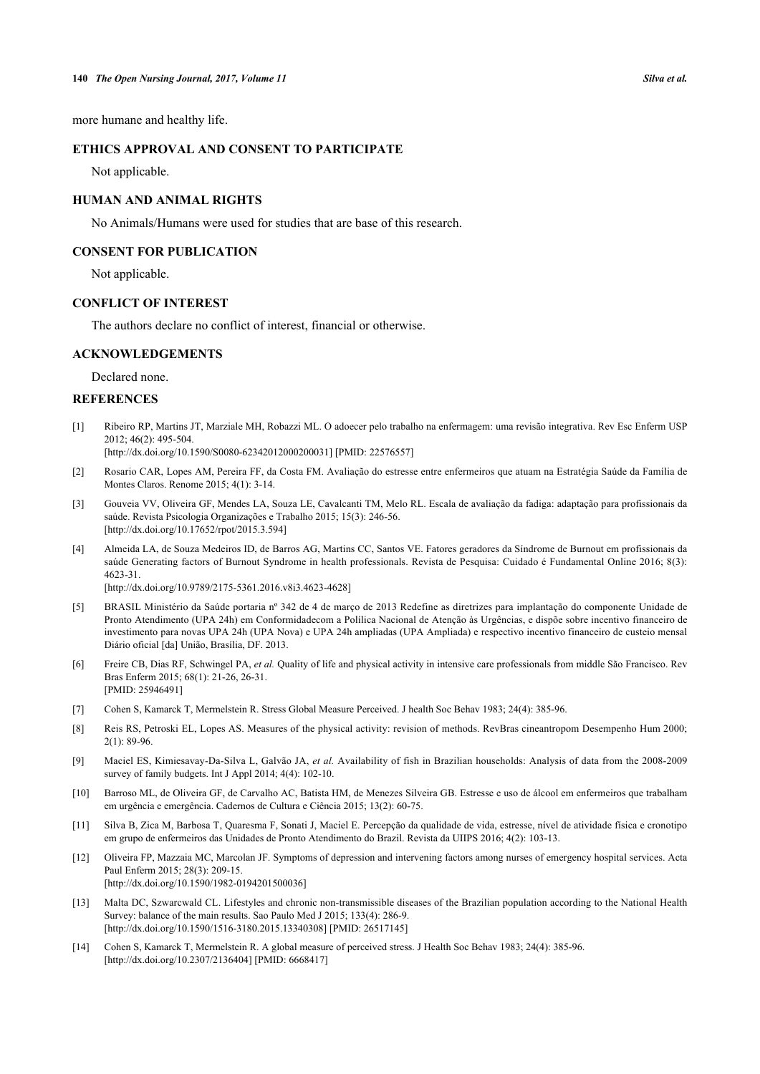more humane and healthy life.

# **ETHICS APPROVAL AND CONSENT TO PARTICIPATE**

Not applicable.

## **HUMAN AND ANIMAL RIGHTS**

No Animals/Humans were used for studies that are base of this research.

# **CONSENT FOR PUBLICATION**

Not applicable.

## **CONFLICT OF INTEREST**

The authors declare no conflict of interest, financial or otherwise.

# **ACKNOWLEDGEMENTS**

Declared none.

## **REFERENCES**

<span id="page-5-0"></span>[1] Ribeiro RP, Martins JT, Marziale MH, Robazzi ML. O adoecer pelo trabalho na enfermagem: uma revisão integrativa. Rev Esc Enferm USP 2012; 46(2): 495-504.

[\[http://dx.doi.org/10.1590/S0080-62342012000200031\]](http://dx.doi.org/10.1590/S0080-62342012000200031) [PMID: [22576557](http://www.ncbi.nlm.nih.gov/pubmed/22576557)]

- <span id="page-5-1"></span>[2] Rosario CAR, Lopes AM, Pereira FF, da Costa FM. Avaliação do estresse entre enfermeiros que atuam na Estratégia Saúde da Família de Montes Claros. Renome 2015; 4(1): 3-14.
- <span id="page-5-2"></span>[3] Gouveia VV, Oliveira GF, Mendes LA, Souza LE, Cavalcanti TM, Melo RL. Escala de avaliação da fadiga: adaptação para profissionais da saúde. Revista Psicologia Organizações e Trabalho 2015; 15(3): 246-56. [\[http://dx.doi.org/10.17652/rpot/2015.3.594\]](http://dx.doi.org/10.17652/rpot/2015.3.594)
- <span id="page-5-3"></span>[4] Almeida LA, de Souza Medeiros ID, de Barros AG, Martins CC, Santos VE. Fatores geradores da Síndrome de Burnout em profissionais da saúde Generating factors of Burnout Syndrome in health professionals. Revista de Pesquisa: Cuidado é Fundamental Online 2016; 8(3): 4623-31.

[\[http://dx.doi.org/10.9789/2175-5361.2016.v8i3.4623-4628](http://dx.doi.org/10.9789/2175-5361.2016.v8i3.4623-4628)]

- <span id="page-5-4"></span>[5] BRASIL Ministério da Saúde portaria nº 342 de 4 de março de 2013 Redefine as diretrizes para implantação do componente Unidade de Pronto Atendimento (UPA 24h) em Conformidadecom a Polílica Nacional de Atenção às Urgências, e dispõe sobre incentivo financeiro de investimento para novas UPA 24h (UPA Nova) e UPA 24h ampliadas (UPA Ampliada) e respectivo incentivo financeiro de custeio mensal Diário oficial [da] União, Brasília, DF. 2013.
- <span id="page-5-5"></span>[6] Freire CB, Dias RF, Schwingel PA, *et al.* Quality of life and physical activity in intensive care professionals from middle São Francisco. Rev Bras Enferm 2015; 68(1): 21-26, 26-31. [PMID: [25946491\]](http://www.ncbi.nlm.nih.gov/pubmed/25946491)
- <span id="page-5-6"></span>[7] Cohen S, Kamarck T, Mermelstein R. Stress Global Measure Perceived. J health Soc Behav 1983; 24(4): 385-96.
- <span id="page-5-7"></span>[8] Reis RS, Petroski EL, Lopes AS. Measures of the physical activity: revision of methods. RevBras cineantropom Desempenho Hum 2000; 2(1): 89-96.
- <span id="page-5-8"></span>[9] Maciel ES, Kimiesavay-Da-Silva L, Galvão JA, *et al.* Availability of fish in Brazilian households: Analysis of data from the 2008-2009 survey of family budgets. Int J Appl 2014; 4(4): 102-10.
- <span id="page-5-9"></span>[10] Barroso ML, de Oliveira GF, de Carvalho AC, Batista HM, de Menezes Silveira GB. Estresse e uso de álcool em enfermeiros que trabalham em urgência e emergência. Cadernos de Cultura e Ciência 2015; 13(2): 60-75.
- <span id="page-5-10"></span>[11] Silva B, Zica M, Barbosa T, Quaresma F, Sonati J, Maciel E. Percepção da qualidade de vida, estresse, nível de atividade física e cronotipo em grupo de enfermeiros das Unidades de Pronto Atendimento do Brazil. Revista da UIIPS 2016; 4(2): 103-13.
- <span id="page-5-11"></span>[12] Oliveira FP, Mazzaia MC, Marcolan JF. Symptoms of depression and intervening factors among nurses of emergency hospital services. Acta Paul Enferm 2015; 28(3): 209-15. [\[http://dx.doi.org/10.1590/1982-0194201500036](http://dx.doi.org/10.1590/1982-0194201500036)]
- <span id="page-5-12"></span>[13] Malta DC, Szwarcwald CL. Lifestyles and chronic non-transmissible diseases of the Brazilian population according to the National Health Survey: balance of the main results. Sao Paulo Med J 2015; 133(4): 286-9. [\[http://dx.doi.org/10.1590/1516-3180.2015.13340308](http://dx.doi.org/10.1590/1516-3180.2015.13340308)] [PMID: [26517145](http://www.ncbi.nlm.nih.gov/pubmed/26517145)]
- <span id="page-5-13"></span>[14] Cohen S, Kamarck T, Mermelstein R. A global measure of perceived stress. J Health Soc Behav 1983; 24(4): 385-96. [\[http://dx.doi.org/10.2307/2136404\]](http://dx.doi.org/10.2307/2136404) [PMID: [6668417](http://www.ncbi.nlm.nih.gov/pubmed/6668417)]